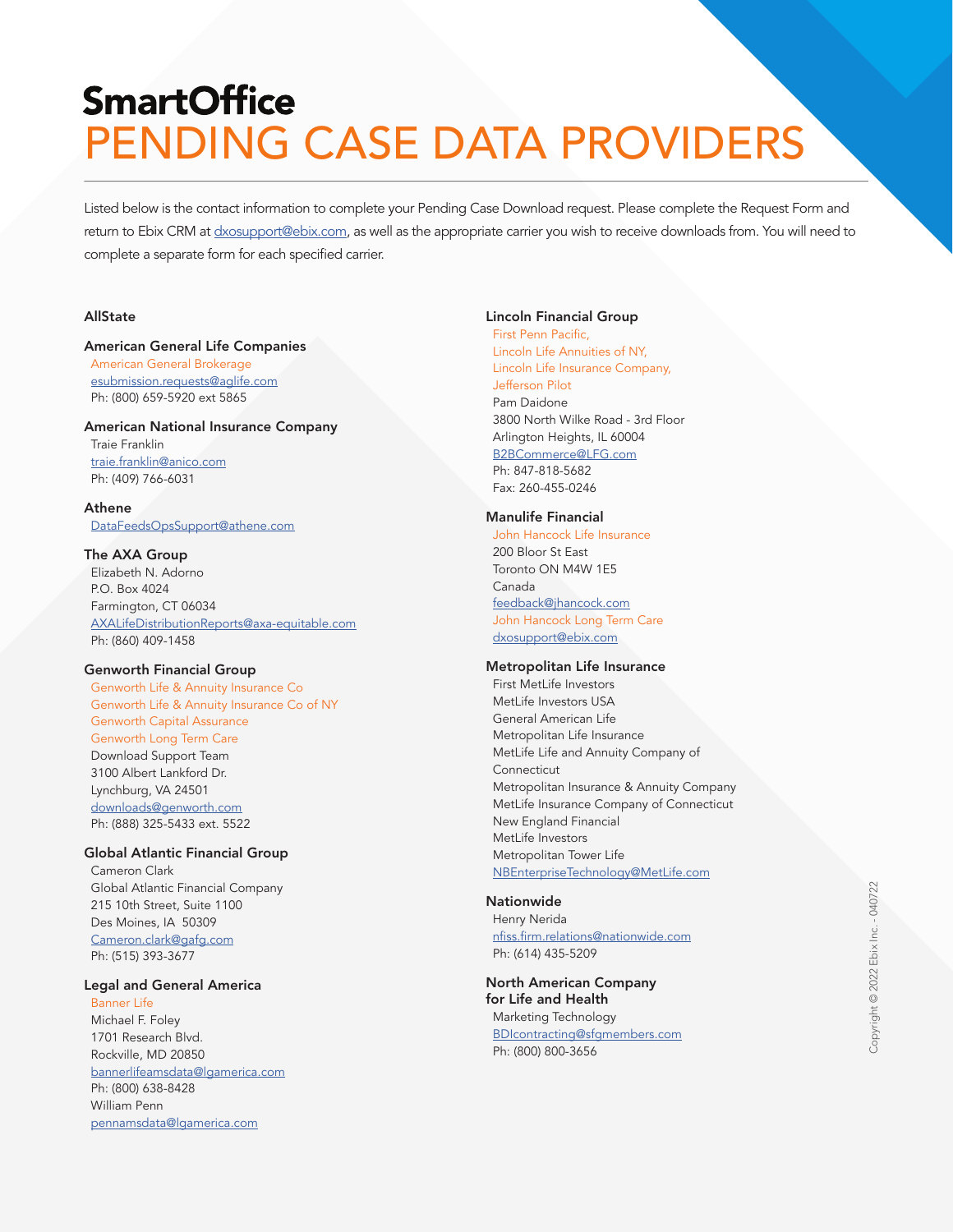# **SmartOffice** PENDING CASE DATA PROVIDERS

Listed below is the contact information to complete your Pending Case Download request. Please complete the Request Form and return to Ebix CRM at [dxosupport@ebix.com,](mailto:dxosupport%40ebix.com?subject=) as well as the appropriate carrier you wish to receive downloads from. You will need to complete a separate form for each specified carrier.

## **AllState**

#### American General Life Companies

 American General Brokerage [esubmission.requests@aglife.com](mailto:esubmission.requests%40aglife.com?subject=Pending%20Case%20Data) Ph: (800) 659-5920 ext 5865

# American National Insurance Company

 Traie Franklin [traie.franklin@anico.com](mailto:traie.franklin%40anico.com?subject=Pending%20Case%20Data) Ph: (409) 766-6031

#### Athene

[DataFeedsOpsSupport@athene.com](mailto:DataFeedsOpsSupport%40athene.com?subject=Pending%20Case%20Data)

#### The AXA Group

 Elizabeth N. Adorno P.O. Box 4024 Farmington, CT 06034 [AXALifeDistributionReports@axa-equitable.com](mailto:AXALifeDistributionReports%40axa-equitable.com?subject=Pending%20Case%20Data) Ph: (860) 409-1458

#### Genworth Financial Group

 Genworth Life & Annuity Insurance Co Genworth Life & Annuity Insurance Co of NY Genworth Capital Assurance Genworth Long Term Care Download Support Team 3100 Albert Lankford Dr. Lynchburg, VA 24501 [downloads@genworth.com](mailto:downloads%40genworth.com?subject=Pending%20Case%20Data) Ph: (888) 325-5433 ext. 5522

#### Global Atlantic Financial Group

 Cameron Clark Global Atlantic Financial Company 215 10th Street, Suite 1100 Des Moines, IA 50309 Cameron.clark@gafg.com Ph: (515) 393-3677

#### Legal and General America

 Banner Life Michael F. Foley 1701 Research Blvd. Rockville, MD 20850 [bannerlifeamsdata@lgamerica.com](mailto:bannerlifeamsdata%40lgamerica.com?subject=Pending%20Case%20Data) Ph: (800) 638-8428 William Penn [pennamsdata@lgamerica.com](mailto:pennamsdata%40lgamerica.com?subject=Pending%20Case%20Data)

#### Lincoln Financial Group

 First Penn Pacific, Lincoln Life Annuities of NY, Lincoln Life Insurance Company, Jefferson Pilot Pam Daidone 3800 North Wilke Road - 3rd Floor Arlington Heights, IL 60004 [B2BCommerce@LFG.com](mailto:B2BCommerce%40LFG.com?subject=Pending%20Case%20Data) Ph: 847-818-5682 Fax: 260-455-0246

#### Manulife Financial

 John Hancock Life Insurance 200 Bloor St East Toronto ON M4W 1E5 Canada [feedback@jhancock.com](mailto:feedback%40jhancock.com%20?subject=Pending%20Case%20Data) John Hancock Long Term Care [dxosupport@ebix.com](mailto:dxosupport%40ebix.com?subject=Pending%20Case%20Data)

#### Metropolitan Life Insurance

 First MetLife Investors MetLife Investors USA General American Life Metropolitan Life Insurance MetLife Life and Annuity Company of Connecticut Metropolitan Insurance & Annuity Company MetLife Insurance Company of Connecticut New England Financial MetLife Investors Metropolitan Tower Life [NBEnterpriseTechnology@MetLife.com](mailto:NBEnterpriseTechnology%40MetLife.com?subject=Pending%20Case%20Data)

# **Nationwide**

 Henry Nerida [nfiss.firm.relations@nationwide.com](mailto:nfiss.firm.relations%40nationwide.com?subject=Pending%20Case%20Data) Ph: (614) 435-5209

North American Company for Life and Health Marketing Technology [BDIcontracting@sfgmembers.com](mailto:BDIcontracting%40sfgmembers.com?subject=Pending%20Case%20Data) Ph: (800) 800-3656